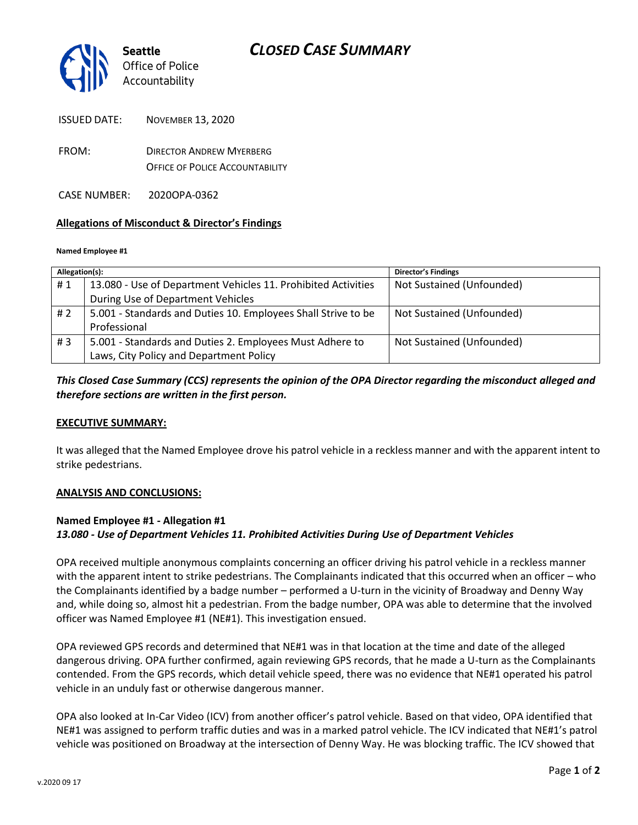

| NOVEMBER 13, 2020<br><b>ISSUED DATE:</b> |  |
|------------------------------------------|--|
|------------------------------------------|--|

- FROM: DIRECTOR ANDREW MYERBERG OFFICE OF POLICE ACCOUNTABILITY
- CASE NUMBER: 2020OPA-0362

### **Allegations of Misconduct & Director's Findings**

#### **Named Employee #1**

| Allegation(s): |                                                               | <b>Director's Findings</b> |
|----------------|---------------------------------------------------------------|----------------------------|
| #1             | 13.080 - Use of Department Vehicles 11. Prohibited Activities | Not Sustained (Unfounded)  |
|                | During Use of Department Vehicles                             |                            |
| # 2            | 5.001 - Standards and Duties 10. Employees Shall Strive to be | Not Sustained (Unfounded)  |
|                | Professional                                                  |                            |
| #3             | 5.001 - Standards and Duties 2. Employees Must Adhere to      | Not Sustained (Unfounded)  |
|                | Laws, City Policy and Department Policy                       |                            |

# *This Closed Case Summary (CCS) represents the opinion of the OPA Director regarding the misconduct alleged and therefore sections are written in the first person.*

### **EXECUTIVE SUMMARY:**

It was alleged that the Named Employee drove his patrol vehicle in a reckless manner and with the apparent intent to strike pedestrians.

#### **ANALYSIS AND CONCLUSIONS:**

### **Named Employee #1 - Allegation #1** *13.080 - Use of Department Vehicles 11. Prohibited Activities During Use of Department Vehicles*

OPA received multiple anonymous complaints concerning an officer driving his patrol vehicle in a reckless manner with the apparent intent to strike pedestrians. The Complainants indicated that this occurred when an officer – who the Complainants identified by a badge number – performed a U-turn in the vicinity of Broadway and Denny Way and, while doing so, almost hit a pedestrian. From the badge number, OPA was able to determine that the involved officer was Named Employee #1 (NE#1). This investigation ensued.

OPA reviewed GPS records and determined that NE#1 was in that location at the time and date of the alleged dangerous driving. OPA further confirmed, again reviewing GPS records, that he made a U-turn as the Complainants contended. From the GPS records, which detail vehicle speed, there was no evidence that NE#1 operated his patrol vehicle in an unduly fast or otherwise dangerous manner.

OPA also looked at In-Car Video (ICV) from another officer's patrol vehicle. Based on that video, OPA identified that NE#1 was assigned to perform traffic duties and was in a marked patrol vehicle. The ICV indicated that NE#1's patrol vehicle was positioned on Broadway at the intersection of Denny Way. He was blocking traffic. The ICV showed that